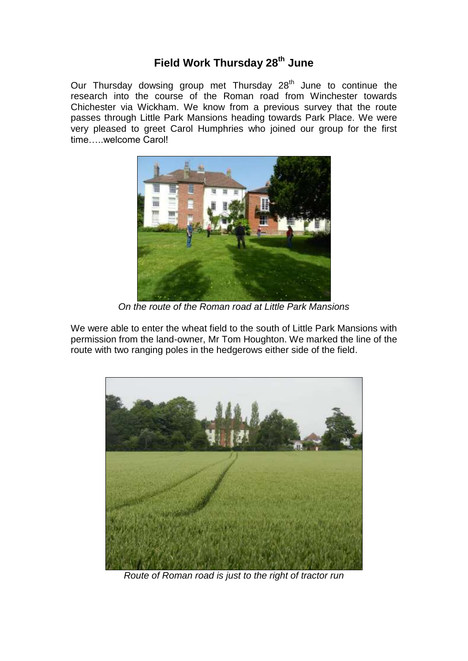## **Field Work Thursday 28th June**

Our Thursday dowsing group met Thursday 28<sup>th</sup> June to continue the research into the course of the Roman road from Winchester towards Chichester via Wickham. We know from a previous survey that the route passes through Little Park Mansions heading towards Park Place. We were very pleased to greet Carol Humphries who joined our group for the first time…..welcome Carol!



*On the route of the Roman road at Little Park Mansions*

We were able to enter the wheat field to the south of Little Park Mansions with permission from the land-owner, Mr Tom Houghton. We marked the line of the route with two ranging poles in the hedgerows either side of the field.



*Route of Roman road is just to the right of tractor run*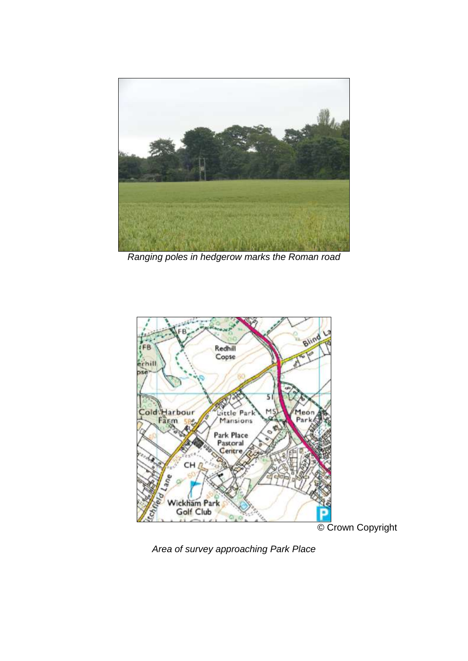

*Ranging poles in hedgerow marks the Roman road*



© Crown Copyright

*Area of survey approaching Park Place*